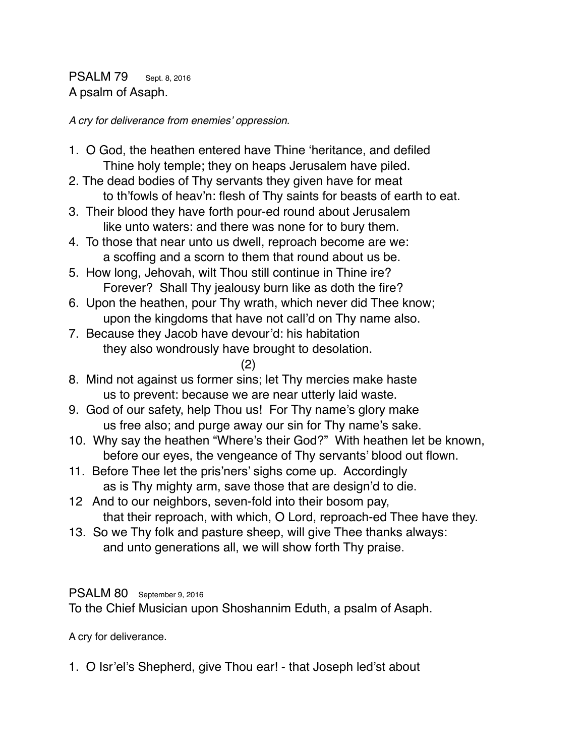PSALM 79 Sept. 8, 2016 A psalm of Asaph.

*A cry for deliverance from enemies' oppression.*

- 1. O God, the heathen entered have Thine 'heritance, and defiled Thine holy temple; they on heaps Jerusalem have piled.
- 2. The dead bodies of Thy servants they given have for meat to th'fowls of heav'n: flesh of Thy saints for beasts of earth to eat.
- 3. Their blood they have forth pour-ed round about Jerusalem like unto waters: and there was none for to bury them.
- 4. To those that near unto us dwell, reproach become are we: a scoffing and a scorn to them that round about us be.
- 5. How long, Jehovah, wilt Thou still continue in Thine ire? Forever? Shall Thy jealousy burn like as doth the fire?
- 6. Upon the heathen, pour Thy wrath, which never did Thee know; upon the kingdoms that have not call'd on Thy name also.
- 7. Because they Jacob have devour'd: his habitation they also wondrously have brought to desolation.
	- (2)
- 8. Mind not against us former sins; let Thy mercies make haste us to prevent: because we are near utterly laid waste.
- 9. God of our safety, help Thou us! For Thy name's glory make us free also; and purge away our sin for Thy name's sake.
- 10. Why say the heathen "Where's their God?" With heathen let be known, before our eyes, the vengeance of Thy servants' blood out flown.
- 11. Before Thee let the pris'ners' sighs come up. Accordingly as is Thy mighty arm, save those that are design'd to die.
- 12 And to our neighbors, seven-fold into their bosom pay, that their reproach, with which, O Lord, reproach-ed Thee have they.
- 13. So we Thy folk and pasture sheep, will give Thee thanks always: and unto generations all, we will show forth Thy praise.

## PSALM 80 September 9, 2016

To the Chief Musician upon Shoshannim Eduth, a psalm of Asaph.

A cry for deliverance.

1. O Isr'el's Shepherd, give Thou ear! - that Joseph led'st about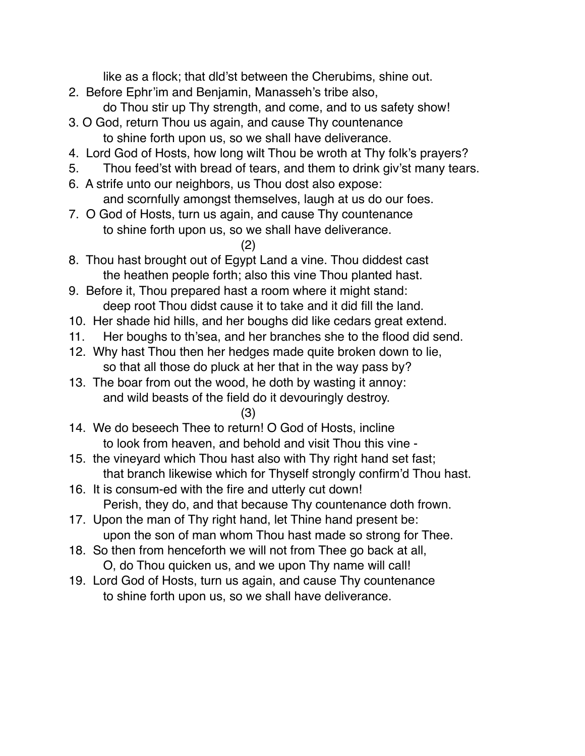like as a flock; that dld'st between the Cherubims, shine out.

- 2. Before Ephr'im and Benjamin, Manasseh's tribe also, do Thou stir up Thy strength, and come, and to us safety show!
- 3. O God, return Thou us again, and cause Thy countenance to shine forth upon us, so we shall have deliverance.
- 4. Lord God of Hosts, how long wilt Thou be wroth at Thy folk's prayers?
- 5. Thou feed'st with bread of tears, and them to drink giv'st many tears.
- 6. A strife unto our neighbors, us Thou dost also expose: and scornfully amongst themselves, laugh at us do our foes.
- 7. O God of Hosts, turn us again, and cause Thy countenance to shine forth upon us, so we shall have deliverance.
	- (2)
- 8. Thou hast brought out of Egypt Land a vine. Thou diddest cast the heathen people forth; also this vine Thou planted hast.
- 9. Before it, Thou prepared hast a room where it might stand: deep root Thou didst cause it to take and it did fill the land.
- 10. Her shade hid hills, and her boughs did like cedars great extend.
- 11. Her boughs to th'sea, and her branches she to the flood did send.
- 12. Why hast Thou then her hedges made quite broken down to lie, so that all those do pluck at her that in the way pass by?
- 13. The boar from out the wood, he doth by wasting it annoy: and wild beasts of the field do it devouringly destroy.
	- (3)
- 14. We do beseech Thee to return! O God of Hosts, incline to look from heaven, and behold and visit Thou this vine -
- 15. the vineyard which Thou hast also with Thy right hand set fast; that branch likewise which for Thyself strongly confirm'd Thou hast.
- 16. It is consum-ed with the fire and utterly cut down! Perish, they do, and that because Thy countenance doth frown.
- 17. Upon the man of Thy right hand, let Thine hand present be: upon the son of man whom Thou hast made so strong for Thee.
- 18. So then from henceforth we will not from Thee go back at all, O, do Thou quicken us, and we upon Thy name will call!
- 19. Lord God of Hosts, turn us again, and cause Thy countenance to shine forth upon us, so we shall have deliverance.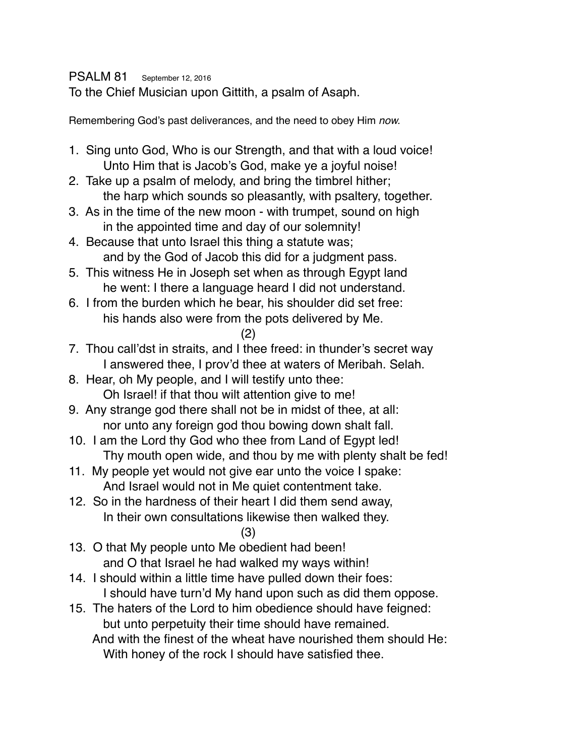PSALM 81 September 12, 2016

To the Chief Musician upon Gittith, a psalm of Asaph.

Remembering God's past deliverances, and the need to obey Him *now.*

- 1. Sing unto God, Who is our Strength, and that with a loud voice! Unto Him that is Jacob's God, make ye a joyful noise!
- 2. Take up a psalm of melody, and bring the timbrel hither; the harp which sounds so pleasantly, with psaltery, together.
- 3. As in the time of the new moon with trumpet, sound on high in the appointed time and day of our solemnity!
- 4. Because that unto Israel this thing a statute was; and by the God of Jacob this did for a judgment pass.
- 5. This witness He in Joseph set when as through Egypt land he went: I there a language heard I did not understand.
- 6. I from the burden which he bear, his shoulder did set free: his hands also were from the pots delivered by Me.

$$
(2)
$$

- 7. Thou call'dst in straits, and I thee freed: in thunder's secret way I answered thee, I prov'd thee at waters of Meribah. Selah.
- 8. Hear, oh My people, and I will testify unto thee: Oh Israel! if that thou wilt attention give to me!
- 9. Any strange god there shall not be in midst of thee, at all: nor unto any foreign god thou bowing down shalt fall.
- 10. I am the Lord thy God who thee from Land of Egypt led! Thy mouth open wide, and thou by me with plenty shalt be fed!
- 11. My people yet would not give ear unto the voice I spake: And Israel would not in Me quiet contentment take.
- 12. So in the hardness of their heart I did them send away, In their own consultations likewise then walked they.
- (3) 13. O that My people unto Me obedient had been! and O that Israel he had walked my ways within!
- 14. I should within a little time have pulled down their foes: I should have turn'd My hand upon such as did them oppose.
- 15. The haters of the Lord to him obedience should have feigned: but unto perpetuity their time should have remained.

 And with the finest of the wheat have nourished them should He: With honey of the rock I should have satisfied thee.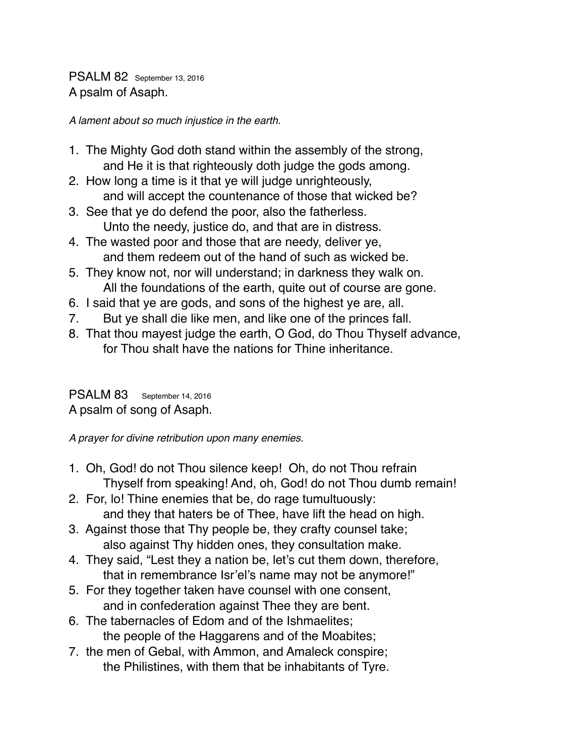PSALM 82 September 13, 2016 A psalm of Asaph.

*A lament about so much injustice in the earth.*

- 1. The Mighty God doth stand within the assembly of the strong, and He it is that righteously doth judge the gods among.
- 2. How long a time is it that ye will judge unrighteously, and will accept the countenance of those that wicked be?
- 3. See that ye do defend the poor, also the fatherless. Unto the needy, justice do, and that are in distress.
- 4. The wasted poor and those that are needy, deliver ye, and them redeem out of the hand of such as wicked be.
- 5. They know not, nor will understand; in darkness they walk on. All the foundations of the earth, quite out of course are gone.
- 6. I said that ye are gods, and sons of the highest ye are, all.
- 7. But ye shall die like men, and like one of the princes fall.
- 8. That thou mayest judge the earth, O God, do Thou Thyself advance, for Thou shalt have the nations for Thine inheritance.

PSALM 83 September 14, 2016

A psalm of song of Asaph.

*A prayer for divine retribution upon many enemies.*

- 1. Oh, God! do not Thou silence keep! Oh, do not Thou refrain Thyself from speaking! And, oh, God! do not Thou dumb remain!
- 2. For, lo! Thine enemies that be, do rage tumultuously: and they that haters be of Thee, have lift the head on high.
- 3. Against those that Thy people be, they crafty counsel take; also against Thy hidden ones, they consultation make.
- 4. They said, "Lest they a nation be, let's cut them down, therefore, that in remembrance Isr'el's name may not be anymore!"
- 5. For they together taken have counsel with one consent, and in confederation against Thee they are bent.
- 6. The tabernacles of Edom and of the Ishmaelites; the people of the Haggarens and of the Moabites;
- 7. the men of Gebal, with Ammon, and Amaleck conspire; the Philistines, with them that be inhabitants of Tyre.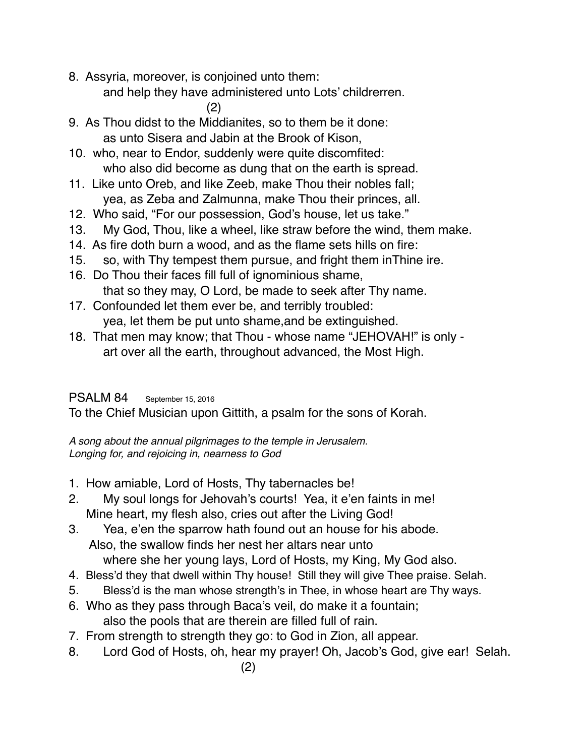- 8. Assyria, moreover, is conjoined unto them:
	- and help they have administered unto Lots' childrerren.

(2)

- 9. As Thou didst to the Middianites, so to them be it done: as unto Sisera and Jabin at the Brook of Kison,
- 10. who, near to Endor, suddenly were quite discomfited: who also did become as dung that on the earth is spread.
- 11. Like unto Oreb, and like Zeeb, make Thou their nobles fall; yea, as Zeba and Zalmunna, make Thou their princes, all.
- 12. Who said, "For our possession, God's house, let us take."
- 13. My God, Thou, like a wheel, like straw before the wind, them make.
- 14. As fire doth burn a wood, and as the flame sets hills on fire:
- 15. so, with Thy tempest them pursue, and fright them inThine ire.
- 16. Do Thou their faces fill full of ignominious shame, that so they may, O Lord, be made to seek after Thy name.
- 17. Confounded let them ever be, and terribly troubled: yea, let them be put unto shame,and be extinguished.
- 18. That men may know; that Thou whose name "JEHOVAH!" is only art over all the earth, throughout advanced, the Most High.

## PSALM 84 September 15, 2016

To the Chief Musician upon Gittith, a psalm for the sons of Korah.

*A song about the annual pilgrimages to the temple in Jerusalem. Longing for, and rejoicing in, nearness to God*

- 1. How amiable, Lord of Hosts, Thy tabernacles be!
- 2. My soul longs for Jehovah's courts! Yea, it e'en faints in me! Mine heart, my flesh also, cries out after the Living God!
- 3. Yea, e'en the sparrow hath found out an house for his abode. Also, the swallow finds her nest her altars near unto where she her young lays, Lord of Hosts, my King, My God also.
- 4. Bless'd they that dwell within Thy house! Still they will give Thee praise. Selah.
- 5. Bless'd is the man whose strength's in Thee, in whose heart are Thy ways.
- 6. Who as they pass through Baca's veil, do make it a fountain; also the pools that are therein are filled full of rain.
- 7. From strength to strength they go: to God in Zion, all appear.
- 8. Lord God of Hosts, oh, hear my prayer! Oh, Jacob's God, give ear! Selah.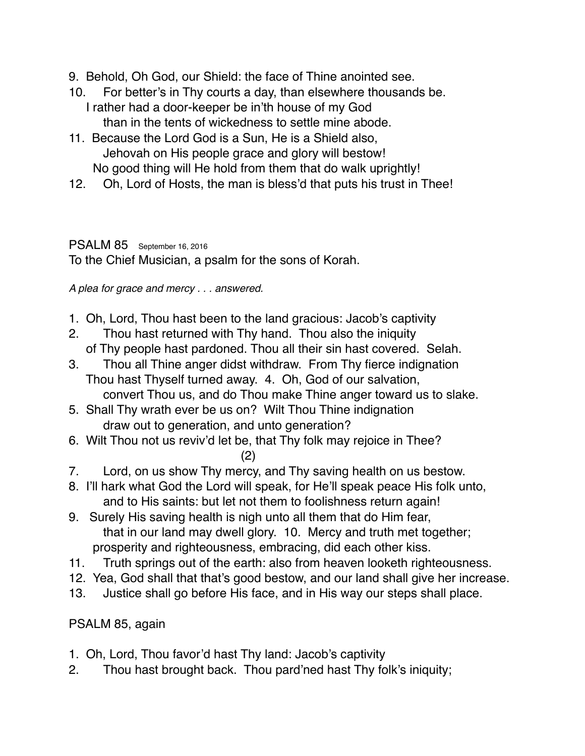- 9. Behold, Oh God, our Shield: the face of Thine anointed see.
- 10. For better's in Thy courts a day, than elsewhere thousands be. I rather had a door-keeper be in'th house of my God than in the tents of wickedness to settle mine abode.
- 11. Because the Lord God is a Sun, He is a Shield also, Jehovah on His people grace and glory will bestow! No good thing will He hold from them that do walk uprightly!
- 12. Oh, Lord of Hosts, the man is bless'd that puts his trust in Thee!

## PSALM 85 September 16, 2016

To the Chief Musician, a psalm for the sons of Korah.

*A plea for grace and mercy . . . answered.*

- 1. Oh, Lord, Thou hast been to the land gracious: Jacob's captivity
- 2. Thou hast returned with Thy hand. Thou also the iniquity of Thy people hast pardoned. Thou all their sin hast covered. Selah.
- 3. Thou all Thine anger didst withdraw. From Thy fierce indignation Thou hast Thyself turned away. 4. Oh, God of our salvation, convert Thou us, and do Thou make Thine anger toward us to slake.
- 5. Shall Thy wrath ever be us on? Wilt Thou Thine indignation draw out to generation, and unto generation?
- 6. Wilt Thou not us reviv'd let be, that Thy folk may rejoice in Thee? (2)
- 7. Lord, on us show Thy mercy, and Thy saving health on us bestow.
- 8. I'll hark what God the Lord will speak, for He'll speak peace His folk unto, and to His saints: but let not them to foolishness return again!
- 9. Surely His saving health is nigh unto all them that do Him fear, that in our land may dwell glory. 10. Mercy and truth met together; prosperity and righteousness, embracing, did each other kiss.
- 11. Truth springs out of the earth: also from heaven looketh righteousness.
- 12. Yea, God shall that that's good bestow, and our land shall give her increase.
- 13. Justice shall go before His face, and in His way our steps shall place.

PSALM 85, again

- 1. Oh, Lord, Thou favor'd hast Thy land: Jacob's captivity
- 2. Thou hast brought back. Thou pard'ned hast Thy folk's iniquity;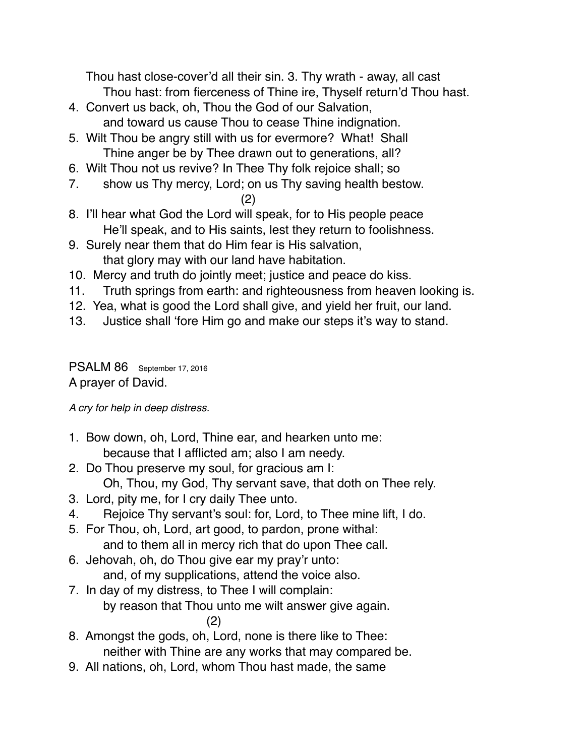Thou hast close-cover'd all their sin. 3. Thy wrath - away, all cast Thou hast: from fierceness of Thine ire, Thyself return'd Thou hast.

- 4. Convert us back, oh, Thou the God of our Salvation, and toward us cause Thou to cease Thine indignation.
- 5. Wilt Thou be angry still with us for evermore? What! Shall Thine anger be by Thee drawn out to generations, all?
- 6. Wilt Thou not us revive? In Thee Thy folk rejoice shall; so
- 7. show us Thy mercy, Lord; on us Thy saving health bestow.
	- (2)
- 8. I'll hear what God the Lord will speak, for to His people peace He'll speak, and to His saints, lest they return to foolishness.
- 9. Surely near them that do Him fear is His salvation, that glory may with our land have habitation.
- 10. Mercy and truth do jointly meet; justice and peace do kiss.
- 11. Truth springs from earth: and righteousness from heaven looking is.
- 12. Yea, what is good the Lord shall give, and yield her fruit, our land.
- 13. Justice shall 'fore Him go and make our steps it's way to stand.

PSALM 86 September 17, 2016 A prayer of David.

*A cry for help in deep distress.*

- 1. Bow down, oh, Lord, Thine ear, and hearken unto me: because that I afflicted am; also I am needy.
- 2. Do Thou preserve my soul, for gracious am I: Oh, Thou, my God, Thy servant save, that doth on Thee rely.
- 3. Lord, pity me, for I cry daily Thee unto.
- 4. Rejoice Thy servant's soul: for, Lord, to Thee mine lift, I do.
- 5. For Thou, oh, Lord, art good, to pardon, prone withal: and to them all in mercy rich that do upon Thee call.
- 6. Jehovah, oh, do Thou give ear my pray'r unto: and, of my supplications, attend the voice also.
- 7. In day of my distress, to Thee I will complain: by reason that Thou unto me wilt answer give again. (2)
- 8. Amongst the gods, oh, Lord, none is there like to Thee: neither with Thine are any works that may compared be.
- 9. All nations, oh, Lord, whom Thou hast made, the same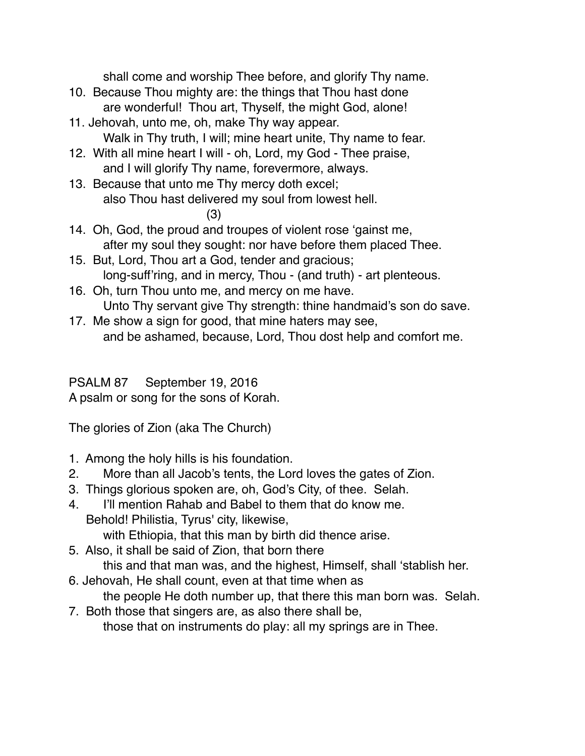shall come and worship Thee before, and glorify Thy name.

- 10. Because Thou mighty are: the things that Thou hast done are wonderful! Thou art, Thyself, the might God, alone!
- 11. Jehovah, unto me, oh, make Thy way appear. Walk in Thy truth, I will; mine heart unite, Thy name to fear.
- 12. With all mine heart I will oh, Lord, my God Thee praise, and I will glorify Thy name, forevermore, always.
- 13. Because that unto me Thy mercy doth excel; also Thou hast delivered my soul from lowest hell.

(3)

- 14. Oh, God, the proud and troupes of violent rose 'gainst me, after my soul they sought: nor have before them placed Thee.
- 15. But, Lord, Thou art a God, tender and gracious; long-suff'ring, and in mercy, Thou - (and truth) - art plenteous.
- 16. Oh, turn Thou unto me, and mercy on me have. Unto Thy servant give Thy strength: thine handmaid's son do save.
- 17. Me show a sign for good, that mine haters may see, and be ashamed, because, Lord, Thou dost help and comfort me.

PSALM 87 September 19, 2016

A psalm or song for the sons of Korah.

The glories of Zion (aka The Church)

- 1. Among the holy hills is his foundation.
- 2. More than all Jacob's tents, the Lord loves the gates of Zion.
- 3. Things glorious spoken are, oh, God's City, of thee. Selah.
- 4. I'll mention Rahab and Babel to them that do know me. Behold! Philistia, Tyrus' city, likewise, with Ethiopia, that this man by birth did thence arise.
- 5. Also, it shall be said of Zion, that born there this and that man was, and the highest, Himself, shall 'stablish her.
- 6. Jehovah, He shall count, even at that time when as the people He doth number up, that there this man born was. Selah.
- 7. Both those that singers are, as also there shall be, those that on instruments do play: all my springs are in Thee.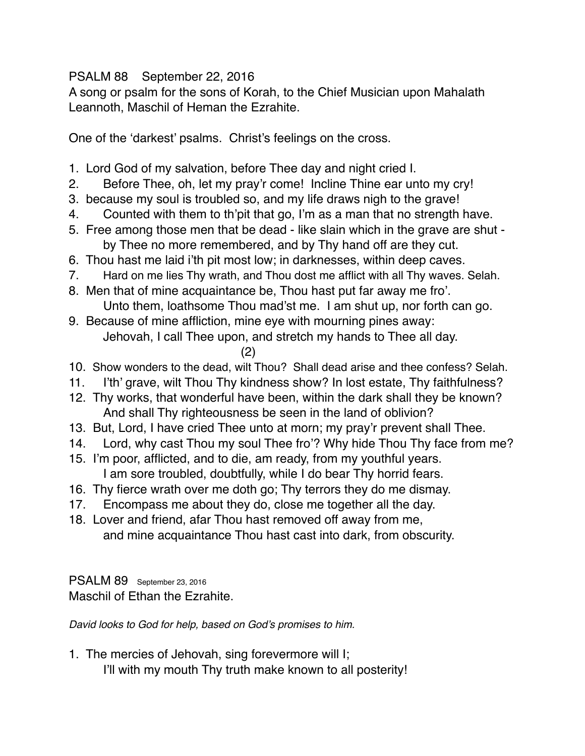## PSALM 88 September 22, 2016

A song or psalm for the sons of Korah, to the Chief Musician upon Mahalath Leannoth, Maschil of Heman the Ezrahite.

One of the 'darkest' psalms. Christ's feelings on the cross.

- 1. Lord God of my salvation, before Thee day and night cried I.
- 2. Before Thee, oh, let my pray'r come! Incline Thine ear unto my cry!
- 3. because my soul is troubled so, and my life draws nigh to the grave!
- 4. Counted with them to th'pit that go, I'm as a man that no strength have.
- 5. Free among those men that be dead like slain which in the grave are shut by Thee no more remembered, and by Thy hand off are they cut.
- 6. Thou hast me laid i'th pit most low; in darknesses, within deep caves.
- 7. Hard on me lies Thy wrath, and Thou dost me afflict with all Thy waves. Selah.
- 8. Men that of mine acquaintance be, Thou hast put far away me fro'. Unto them, loathsome Thou mad'st me. I am shut up, nor forth can go.
- 9. Because of mine affliction, mine eye with mourning pines away: Jehovah, I call Thee upon, and stretch my hands to Thee all day.

(2)

- 10. Show wonders to the dead, wilt Thou? Shall dead arise and thee confess? Selah.
- 11. I'th' grave, wilt Thou Thy kindness show? In lost estate, Thy faithfulness?
- 12. Thy works, that wonderful have been, within the dark shall they be known? And shall Thy righteousness be seen in the land of oblivion?
- 13. But, Lord, I have cried Thee unto at morn; my pray'r prevent shall Thee.
- 14. Lord, why cast Thou my soul Thee fro'? Why hide Thou Thy face from me?
- 15. I'm poor, afflicted, and to die, am ready, from my youthful years. I am sore troubled, doubtfully, while I do bear Thy horrid fears.
- 16. Thy fierce wrath over me doth go; Thy terrors they do me dismay.
- 17. Encompass me about they do, close me together all the day.
- 18. Lover and friend, afar Thou hast removed off away from me, and mine acquaintance Thou hast cast into dark, from obscurity.

PSALM 89 September 23, 2016 Maschil of Ethan the Ezrahite.

*David looks to God for help, based on God's promises to him.*

1. The mercies of Jehovah, sing forevermore will I; I'll with my mouth Thy truth make known to all posterity!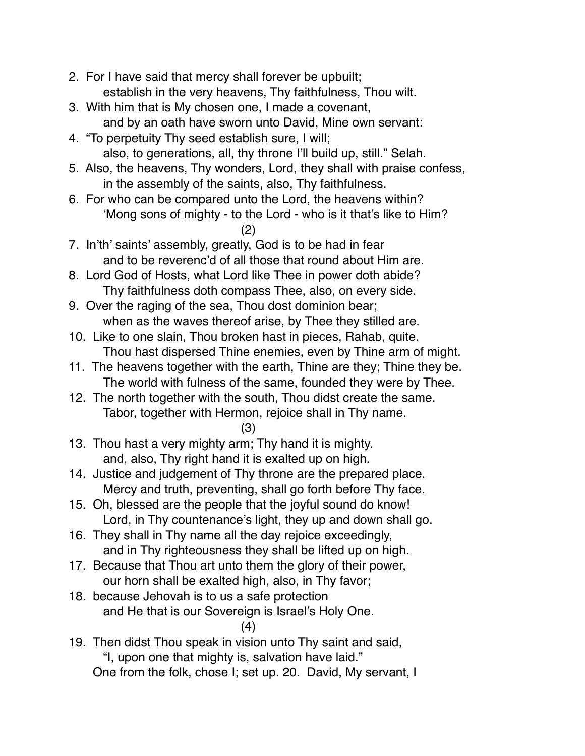- 2. For I have said that mercy shall forever be upbuilt; establish in the very heavens, Thy faithfulness, Thou wilt.
- 3. With him that is My chosen one, I made a covenant, and by an oath have sworn unto David, Mine own servant:
- 4. "To perpetuity Thy seed establish sure, I will; also, to generations, all, thy throne I'll build up, still." Selah.
- 5. Also, the heavens, Thy wonders, Lord, they shall with praise confess, in the assembly of the saints, also, Thy faithfulness.
- 6. For who can be compared unto the Lord, the heavens within? 'Mong sons of mighty - to the Lord - who is it that's like to Him?

(2)

- 7. In'th' saints' assembly, greatly, God is to be had in fear and to be reverenc'd of all those that round about Him are.
- 8. Lord God of Hosts, what Lord like Thee in power doth abide? Thy faithfulness doth compass Thee, also, on every side.
- 9. Over the raging of the sea, Thou dost dominion bear; when as the waves thereof arise, by Thee they stilled are.
- 10. Like to one slain, Thou broken hast in pieces, Rahab, quite. Thou hast dispersed Thine enemies, even by Thine arm of might.
- 11. The heavens together with the earth, Thine are they; Thine they be. The world with fulness of the same, founded they were by Thee.
- 12. The north together with the south, Thou didst create the same. Tabor, together with Hermon, rejoice shall in Thy name.

(3)

- 13. Thou hast a very mighty arm; Thy hand it is mighty. and, also, Thy right hand it is exalted up on high.
- 14. Justice and judgement of Thy throne are the prepared place. Mercy and truth, preventing, shall go forth before Thy face.
- 15. Oh, blessed are the people that the joyful sound do know! Lord, in Thy countenance's light, they up and down shall go.
- 16. They shall in Thy name all the day rejoice exceedingly, and in Thy righteousness they shall be lifted up on high.
- 17. Because that Thou art unto them the glory of their power, our horn shall be exalted high, also, in Thy favor;
- 18. because Jehovah is to us a safe protection and He that is our Sovereign is Israel's Holy One. (4)
- 19. Then didst Thou speak in vision unto Thy saint and said, "I, upon one that mighty is, salvation have laid." One from the folk, chose I; set up. 20. David, My servant, I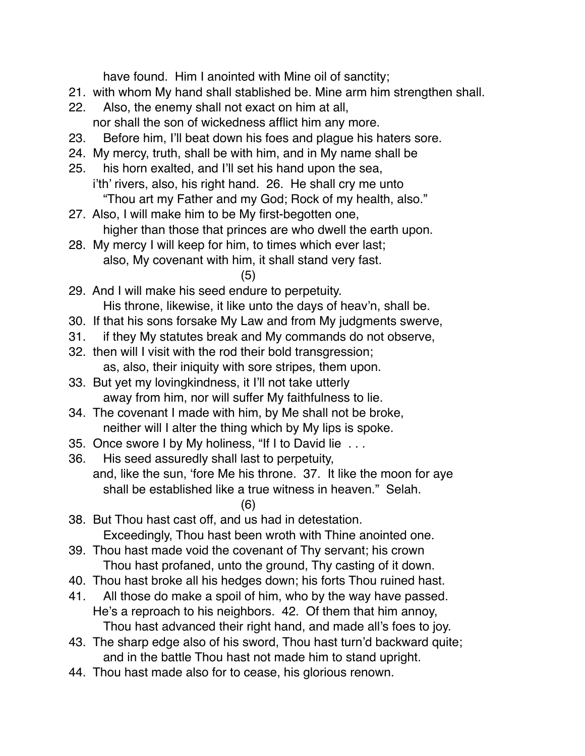have found. Him I anointed with Mine oil of sanctity;

- 21. with whom My hand shall stablished be. Mine arm him strengthen shall.
- 22. Also, the enemy shall not exact on him at all, nor shall the son of wickedness afflict him any more.
- 23. Before him, I'll beat down his foes and plague his haters sore.
- 24. My mercy, truth, shall be with him, and in My name shall be
- 25. his horn exalted, and I'll set his hand upon the sea, i'th' rivers, also, his right hand. 26. He shall cry me unto "Thou art my Father and my God; Rock of my health, also."
- 27. Also, I will make him to be My first-begotten one, higher than those that princes are who dwell the earth upon.
- 28. My mercy I will keep for him, to times which ever last; also, My covenant with him, it shall stand very fast.
	- (5)
- 29. And I will make his seed endure to perpetuity. His throne, likewise, it like unto the days of heav'n, shall be.
- 30. If that his sons forsake My Law and from My judgments swerve,
- 31. if they My statutes break and My commands do not observe,
- 32. then will I visit with the rod their bold transgression; as, also, their iniquity with sore stripes, them upon.
- 33. But yet my lovingkindness, it I'll not take utterly away from him, nor will suffer My faithfulness to lie.
- 34. The covenant I made with him, by Me shall not be broke, neither will I alter the thing which by My lips is spoke.
- 35. Once swore I by My holiness, "If I to David lie . . .
- 36. His seed assuredly shall last to perpetuity, and, like the sun, 'fore Me his throne. 37. It like the moon for aye shall be established like a true witness in heaven." Selah.
- (6) 38. But Thou hast cast off, and us had in detestation. Exceedingly, Thou hast been wroth with Thine anointed one.
- 39. Thou hast made void the covenant of Thy servant; his crown Thou hast profaned, unto the ground, Thy casting of it down.
- 40. Thou hast broke all his hedges down; his forts Thou ruined hast.
- 41. All those do make a spoil of him, who by the way have passed. He's a reproach to his neighbors. 42. Of them that him annoy, Thou hast advanced their right hand, and made all's foes to joy.
- 43. The sharp edge also of his sword, Thou hast turn'd backward quite; and in the battle Thou hast not made him to stand upright.
- 44. Thou hast made also for to cease, his glorious renown.